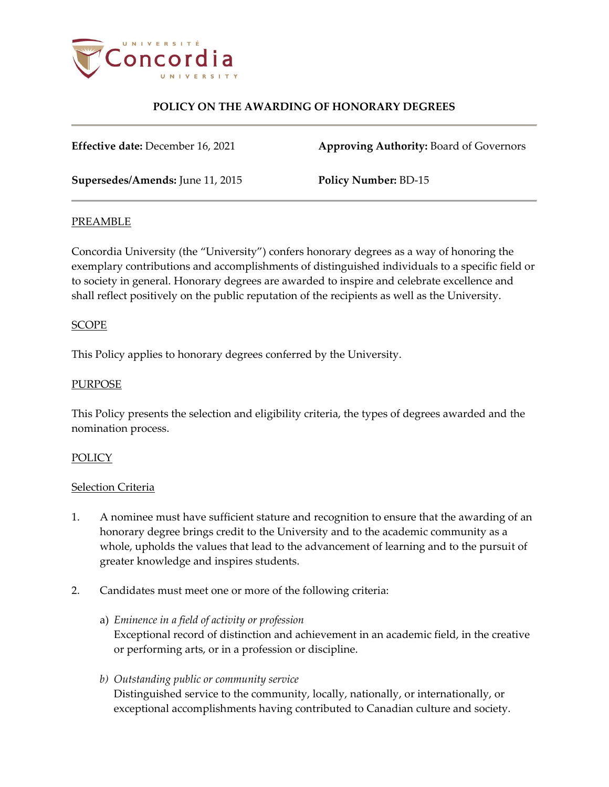

**Effective date:** December 16, 2021 **Approving Authority:** Board of Governors

**Supersedes/Amends:** June 11, 2015 **Policy Number:** BD-15

# PREAMBLE

Concordia University (the "University") confers honorary degrees as a way of honoring the exemplary contributions and accomplishments of distinguished individuals to a specific field or to society in general. Honorary degrees are awarded to inspire and celebrate excellence and shall reflect positively on the public reputation of the recipients as well as the University.

## SCOPE

This Policy applies to honorary degrees conferred by the University.

## **PURPOSE**

This Policy presents the selection and eligibility criteria, the types of degrees awarded and the nomination process.

#### **POLICY**

#### Selection Criteria

- 1. A nominee must have sufficient stature and recognition to ensure that the awarding of an honorary degree brings credit to the University and to the academic community as a whole, upholds the values that lead to the advancement of learning and to the pursuit of greater knowledge and inspires students.
- 2. Candidates must meet one or more of the following criteria:
	- a) *Eminence in a field of activity or profession* Exceptional record of distinction and achievement in an academic field, in the creative or performing arts, or in a profession or discipline.
	- *b) Outstanding public or community service* Distinguished service to the community, locally, nationally, or internationally, or exceptional accomplishments having contributed to Canadian culture and society.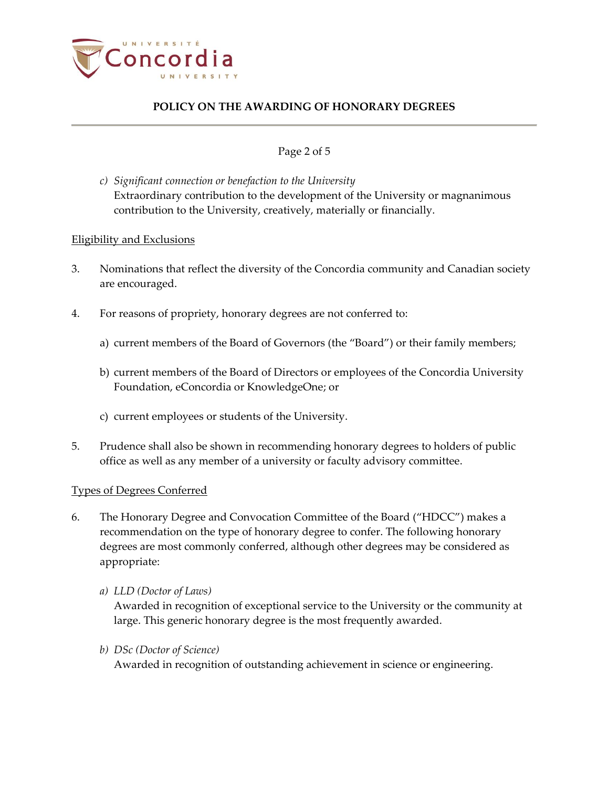

## Page 2 of 5

*c) Significant connection or benefaction to the University* Extraordinary contribution to the development of the University or magnanimous contribution to the University, creatively, materially or financially.

#### Eligibility and Exclusions

- 3. Nominations that reflect the diversity of the Concordia community and Canadian society are encouraged.
- 4. For reasons of propriety, honorary degrees are not conferred to:
	- a) current members of the Board of Governors (the "Board") or their family members;
	- b) current members of the Board of Directors or employees of the Concordia University Foundation, eConcordia or KnowledgeOne; or
	- c) current employees or students of the University.
- 5. Prudence shall also be shown in recommending honorary degrees to holders of public office as well as any member of a university or faculty advisory committee.

### Types of Degrees Conferred

- 6. The Honorary Degree and Convocation Committee of the Board ("HDCC") makes a recommendation on the type of honorary degree to confer. The following honorary degrees are most commonly conferred, although other degrees may be considered as appropriate:
	- *a) LLD (Doctor of Laws)*

Awarded in recognition of exceptional service to the University or the community at large. This generic honorary degree is the most frequently awarded.

*b) DSc (Doctor of Science)*

Awarded in recognition of outstanding achievement in science or engineering.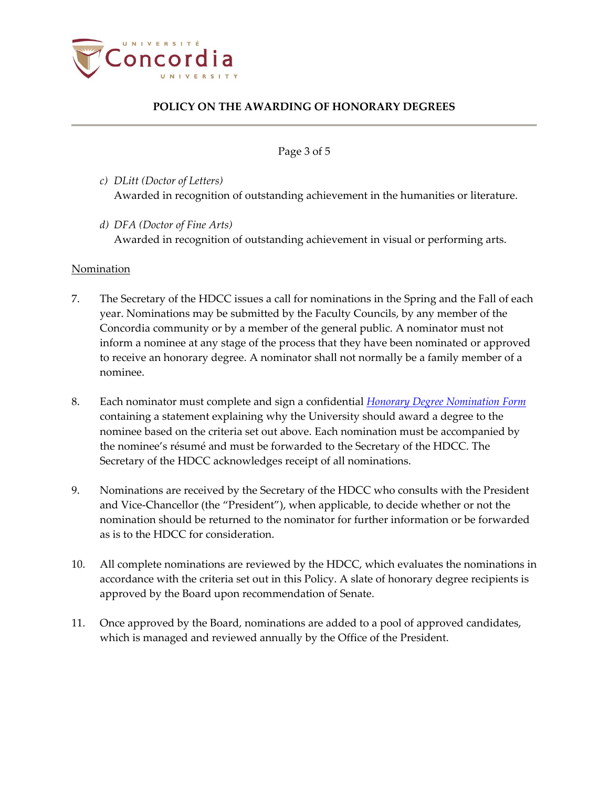

Page 3 of 5

- *c) DLitt (Doctor of Letters)* Awarded in recognition of outstanding achievement in the humanities or literature.
- *d) DFA (Doctor of Fine Arts)* Awarded in recognition of outstanding achievement in visual or performing arts.

## Nomination

- 7. The Secretary of the HDCC issues a call for nominations in the Spring and the Fall of each year. Nominations may be submitted by the Faculty Councils, by any member of the Concordia community or by a member of the general public. A nominator must not inform a nominee at any stage of the process that they have been nominated or approved to receive an honorary degree. A nominator shall not normally be a family member of a nominee.
- 8. Each nominator must complete and sign a confidential *[Honorary Degree Nomination Form](http://www.concordia.ca/content/dam/common/docs/policies/official-policies/hon-doc-nomination-form.doc)* containing a statement explaining why the University should award a degree to the nominee based on the criteria set out above. Each nomination must be accompanied by the nominee's résumé and must be forwarded to the Secretary of the HDCC. The Secretary of the HDCC acknowledges receipt of all nominations.
- 9. Nominations are received by the Secretary of the HDCC who consults with the President and Vice-Chancellor (the "President"), when applicable, to decide whether or not the nomination should be returned to the nominator for further information or be forwarded as is to the HDCC for consideration.
- 10. All complete nominations are reviewed by the HDCC, which evaluates the nominations in accordance with the criteria set out in this Policy. A slate of honorary degree recipients is approved by the Board upon recommendation of Senate.
- 11. Once approved by the Board, nominations are added to a pool of approved candidates, which is managed and reviewed annually by the Office of the President.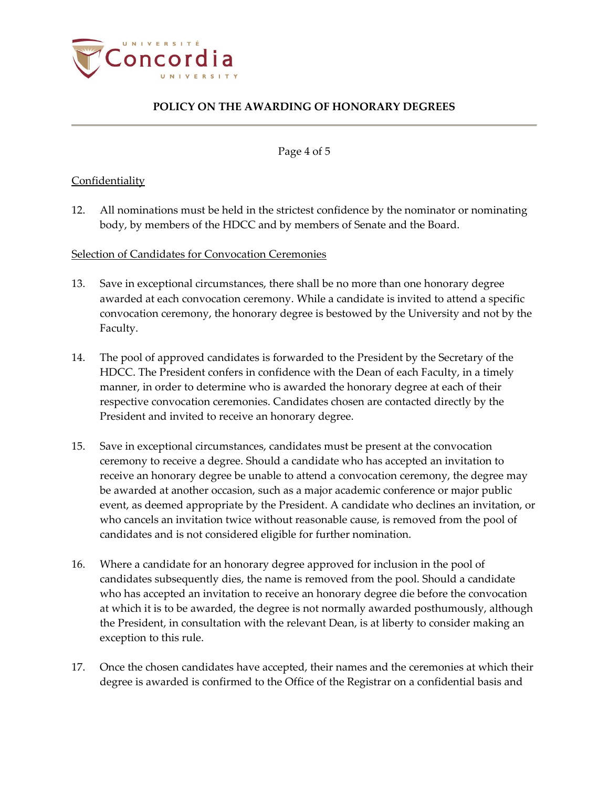

Page 4 of 5

# **Confidentiality**

12. All nominations must be held in the strictest confidence by the nominator or nominating body, by members of the HDCC and by members of Senate and the Board.

# Selection of Candidates for Convocation Ceremonies

- 13. Save in exceptional circumstances, there shall be no more than one honorary degree awarded at each convocation ceremony. While a candidate is invited to attend a specific convocation ceremony, the honorary degree is bestowed by the University and not by the Faculty.
- 14. The pool of approved candidates is forwarded to the President by the Secretary of the HDCC. The President confers in confidence with the Dean of each Faculty, in a timely manner, in order to determine who is awarded the honorary degree at each of their respective convocation ceremonies. Candidates chosen are contacted directly by the President and invited to receive an honorary degree.
- 15. Save in exceptional circumstances, candidates must be present at the convocation ceremony to receive a degree. Should a candidate who has accepted an invitation to receive an honorary degree be unable to attend a convocation ceremony, the degree may be awarded at another occasion, such as a major academic conference or major public event, as deemed appropriate by the President. A candidate who declines an invitation, or who cancels an invitation twice without reasonable cause, is removed from the pool of candidates and is not considered eligible for further nomination.
- 16. Where a candidate for an honorary degree approved for inclusion in the pool of candidates subsequently dies, the name is removed from the pool. Should a candidate who has accepted an invitation to receive an honorary degree die before the convocation at which it is to be awarded, the degree is not normally awarded posthumously, although the President, in consultation with the relevant Dean, is at liberty to consider making an exception to this rule.
- 17. Once the chosen candidates have accepted, their names and the ceremonies at which their degree is awarded is confirmed to the Office of the Registrar on a confidential basis and